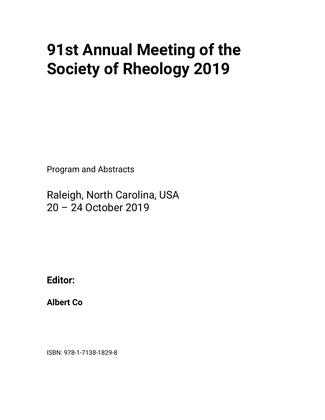## **91st Annual Meeting of the Society of Rheology 2019**

Program and Abstracts

Raleigh, North Carolina, USA 20 – 24 October 2019

**Editor:**

**Albert Co**

ISBN: 978-1-7138-1829-8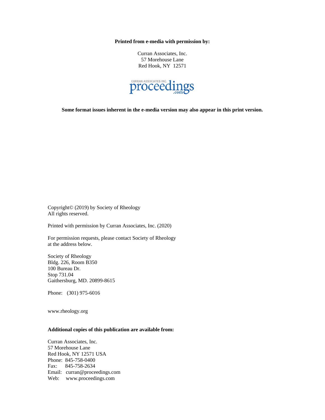**Printed from e-media with permission by:**

Curran Associates, Inc. 57 Morehouse Lane Red Hook, NY 12571



**Some format issues inherent in the e-media version may also appear in this print version.**

Copyright© (2019) by Society of Rheology All rights reserved.

Printed with permission by Curran Associates, Inc. (2020)

For permission requests, please contact Society of Rheology at the address below.

Society of Rheology Bldg. 226, Room B350 100 Bureau Dr. Stop 731.04 Gaithersburg, MD. 20899-8615

Phone: (301) 975-6016

www.rheology.org

## **Additional copies of this publication are available from:**

Curran Associates, Inc. 57 Morehouse Lane Red Hook, NY 12571 USA Phone: 845-758-0400 Fax: 845-758-2634 Email: curran@proceedings.com Web: www.proceedings.com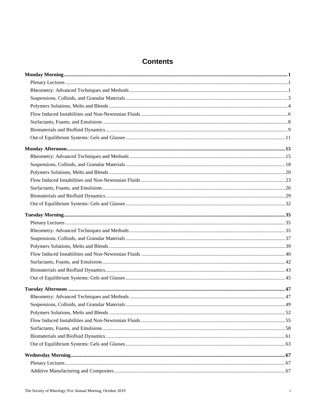## **Contents**